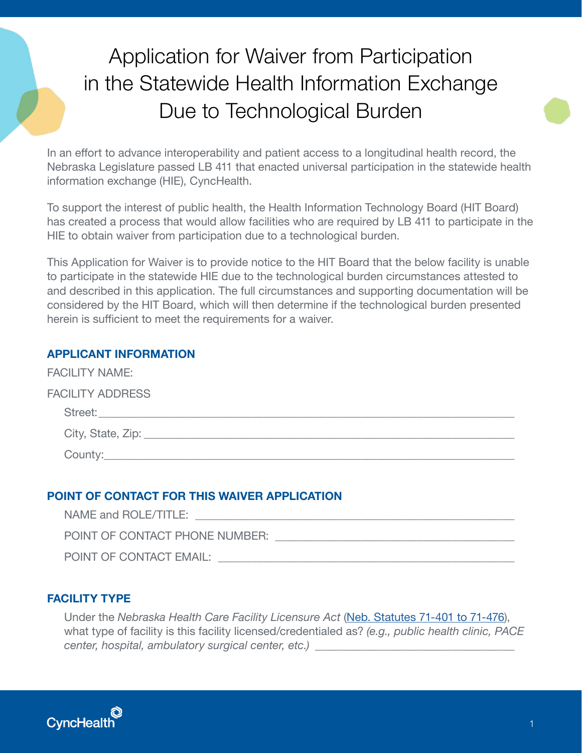# Application for Waiver from Participation in the Statewide Health Information Exchange Due to Technological Burden

In an effort to advance interoperability and patient access to a longitudinal health record, the Nebraska Legislature passed LB 411 that enacted universal participation in the statewide health information exchange (HIE), CyncHealth.

To support the interest of public health, the Health Information Technology Board (HIT Board) has created a process that would allow facilities who are required by LB 411 to participate in the HIE to obtain waiver from participation due to a technological burden.

This Application for Waiver is to provide notice to the HIT Board that the below facility is unable to participate in the statewide HIE due to the technological burden circumstances attested to and described in this application. The full circumstances and supporting documentation will be considered by the HIT Board, which will then determine if the technological burden presented herein is sufficient to meet the requirements for a waiver.

## **APPLICANT INFORMATION**

| <b>FACILITY NAME:</b>   |                           |  |  |
|-------------------------|---------------------------|--|--|
| <b>FACILITY ADDRESS</b> |                           |  |  |
|                         | Street:                   |  |  |
|                         |                           |  |  |
|                         | County: Executive County: |  |  |

# **POINT OF CONTACT FOR THIS WAIVER APPLICATION**

| NAME and ROLE/TITLE:           |
|--------------------------------|
| POINT OF CONTACT PHONE NUMBER: |
| POINT OF CONTACT EMAIL:        |

## **FACILITY TYPE**

Under the *Nebraska Health Care Facility Licensure Act* ([Neb. Statutes 71-401 to 71-476\)](https://nebraskalegislature.gov/laws/statutes.php?statute=71-401), what type of facility is this facility licensed/credentialed as? *(e.g., public health clinic, PACE center, hospital, ambulatory surgical center, etc.)* \_\_\_\_\_\_\_\_\_\_\_\_\_\_\_\_\_\_\_\_\_\_\_\_\_\_\_\_\_\_\_\_\_\_\_

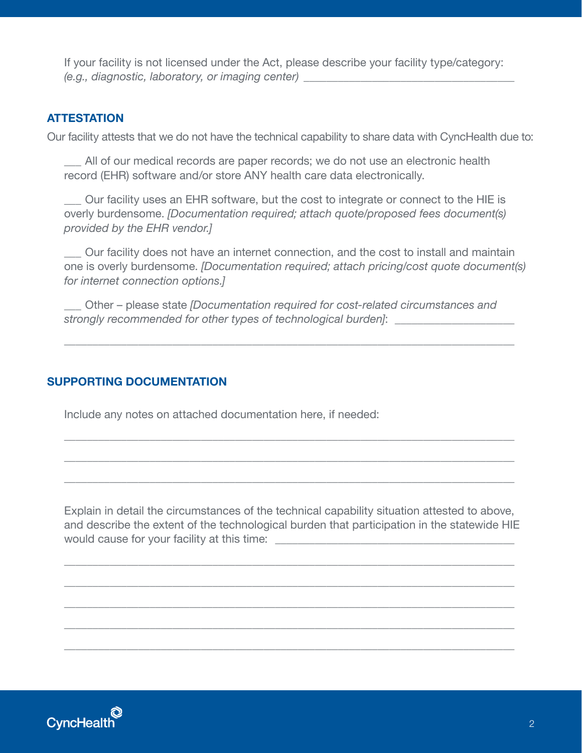If your facility is not licensed under the Act, please describe your facility type/category: *(e.g., diagnostic, laboratory, or imaging center)* \_\_\_\_\_\_\_\_\_\_\_\_\_\_\_\_\_\_\_\_\_\_\_\_\_\_\_\_\_\_\_\_\_\_\_\_\_

#### **ATTESTATION**

Our facility attests that we do not have the technical capability to share data with CyncHealth due to:

 \_\_\_ All of our medical records are paper records; we do not use an electronic health record (EHR) software and/or store ANY health care data electronically.

 \_\_\_ Our facility uses an EHR software, but the cost to integrate or connect to the HIE is overly burdensome. *[Documentation required; attach quote/proposed fees document(s) provided by the EHR vendor.]*

 \_\_\_ Our facility does not have an internet connection, and the cost to install and maintain one is overly burdensome. *[Documentation required; attach pricing/cost quote document(s) for internet connection options.]*

 \_\_\_ Other – please state *[Documentation required for cost-related circumstances and strongly recommended for other types of technological burden]*:

\_\_\_\_\_\_\_\_\_\_\_\_\_\_\_\_\_\_\_\_\_\_\_\_\_\_\_\_\_\_\_\_\_\_\_\_\_\_\_\_\_\_\_\_\_\_\_\_\_\_\_\_\_\_\_\_\_\_\_\_\_\_\_\_\_\_\_\_\_\_\_\_\_\_\_\_\_\_\_

\_\_\_\_\_\_\_\_\_\_\_\_\_\_\_\_\_\_\_\_\_\_\_\_\_\_\_\_\_\_\_\_\_\_\_\_\_\_\_\_\_\_\_\_\_\_\_\_\_\_\_\_\_\_\_\_\_\_\_\_\_\_\_\_\_\_\_\_\_\_\_\_\_\_\_\_\_\_\_

\_\_\_\_\_\_\_\_\_\_\_\_\_\_\_\_\_\_\_\_\_\_\_\_\_\_\_\_\_\_\_\_\_\_\_\_\_\_\_\_\_\_\_\_\_\_\_\_\_\_\_\_\_\_\_\_\_\_\_\_\_\_\_\_\_\_\_\_\_\_\_\_\_\_\_\_\_\_\_

\_\_\_\_\_\_\_\_\_\_\_\_\_\_\_\_\_\_\_\_\_\_\_\_\_\_\_\_\_\_\_\_\_\_\_\_\_\_\_\_\_\_\_\_\_\_\_\_\_\_\_\_\_\_\_\_\_\_\_\_\_\_\_\_\_\_\_\_\_\_\_\_\_\_\_\_\_\_\_

## **SUPPORTING DOCUMENTATION**

Include any notes on attached documentation here, if needed:

 Explain in detail the circumstances of the technical capability situation attested to above, and describe the extent of the technological burden that participation in the statewide HIE would cause for your facility at this time: \_\_\_\_\_\_\_\_\_\_\_\_\_\_\_\_\_\_\_\_\_\_\_\_\_\_\_\_\_\_\_\_\_\_\_\_\_\_\_\_\_\_

\_\_\_\_\_\_\_\_\_\_\_\_\_\_\_\_\_\_\_\_\_\_\_\_\_\_\_\_\_\_\_\_\_\_\_\_\_\_\_\_\_\_\_\_\_\_\_\_\_\_\_\_\_\_\_\_\_\_\_\_\_\_\_\_\_\_\_\_\_\_\_\_\_\_\_\_\_\_\_

\_\_\_\_\_\_\_\_\_\_\_\_\_\_\_\_\_\_\_\_\_\_\_\_\_\_\_\_\_\_\_\_\_\_\_\_\_\_\_\_\_\_\_\_\_\_\_\_\_\_\_\_\_\_\_\_\_\_\_\_\_\_\_\_\_\_\_\_\_\_\_\_\_\_\_\_\_\_\_

\_\_\_\_\_\_\_\_\_\_\_\_\_\_\_\_\_\_\_\_\_\_\_\_\_\_\_\_\_\_\_\_\_\_\_\_\_\_\_\_\_\_\_\_\_\_\_\_\_\_\_\_\_\_\_\_\_\_\_\_\_\_\_\_\_\_\_\_\_\_\_\_\_\_\_\_\_\_\_

\_\_\_\_\_\_\_\_\_\_\_\_\_\_\_\_\_\_\_\_\_\_\_\_\_\_\_\_\_\_\_\_\_\_\_\_\_\_\_\_\_\_\_\_\_\_\_\_\_\_\_\_\_\_\_\_\_\_\_\_\_\_\_\_\_\_\_\_\_\_\_\_\_\_\_\_\_\_\_

\_\_\_\_\_\_\_\_\_\_\_\_\_\_\_\_\_\_\_\_\_\_\_\_\_\_\_\_\_\_\_\_\_\_\_\_\_\_\_\_\_\_\_\_\_\_\_\_\_\_\_\_\_\_\_\_\_\_\_\_\_\_\_\_\_\_\_\_\_\_\_\_\_\_\_\_\_\_\_

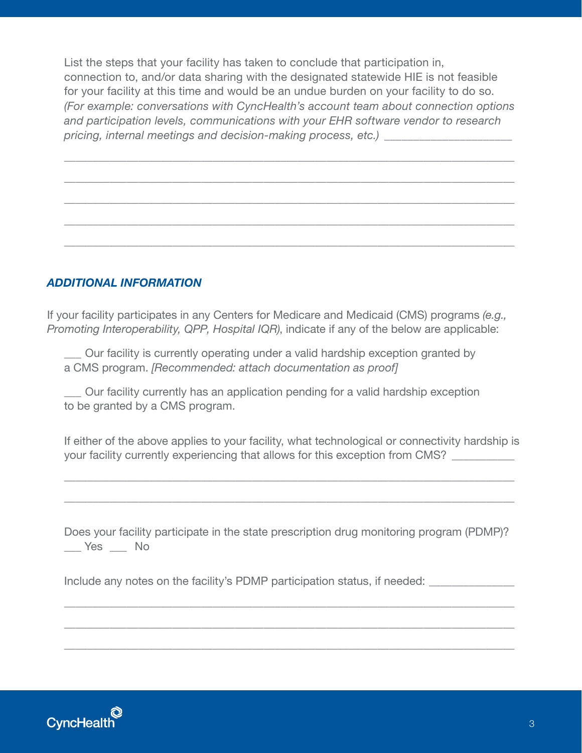List the steps that your facility has taken to conclude that participation in, connection to, and/or data sharing with the designated statewide HIE is not feasible for your facility at this time and would be an undue burden on your facility to do so. *(For example: conversations with CyncHealth's account team about connection options and participation levels, communications with your EHR software vendor to research pricing, internal meetings and decision-making process, etc.)* \_\_\_\_\_\_\_\_\_\_\_\_\_\_\_\_\_\_\_\_\_\_

\_\_\_\_\_\_\_\_\_\_\_\_\_\_\_\_\_\_\_\_\_\_\_\_\_\_\_\_\_\_\_\_\_\_\_\_\_\_\_\_\_\_\_\_\_\_\_\_\_\_\_\_\_\_\_\_\_\_\_\_\_\_\_\_\_\_\_\_\_\_\_\_\_\_\_\_\_\_\_

\_\_\_\_\_\_\_\_\_\_\_\_\_\_\_\_\_\_\_\_\_\_\_\_\_\_\_\_\_\_\_\_\_\_\_\_\_\_\_\_\_\_\_\_\_\_\_\_\_\_\_\_\_\_\_\_\_\_\_\_\_\_\_\_\_\_\_\_\_\_\_\_\_\_\_\_\_\_\_

\_\_\_\_\_\_\_\_\_\_\_\_\_\_\_\_\_\_\_\_\_\_\_\_\_\_\_\_\_\_\_\_\_\_\_\_\_\_\_\_\_\_\_\_\_\_\_\_\_\_\_\_\_\_\_\_\_\_\_\_\_\_\_\_\_\_\_\_\_\_\_\_\_\_\_\_\_\_\_

\_\_\_\_\_\_\_\_\_\_\_\_\_\_\_\_\_\_\_\_\_\_\_\_\_\_\_\_\_\_\_\_\_\_\_\_\_\_\_\_\_\_\_\_\_\_\_\_\_\_\_\_\_\_\_\_\_\_\_\_\_\_\_\_\_\_\_\_\_\_\_\_\_\_\_\_\_\_\_

\_\_\_\_\_\_\_\_\_\_\_\_\_\_\_\_\_\_\_\_\_\_\_\_\_\_\_\_\_\_\_\_\_\_\_\_\_\_\_\_\_\_\_\_\_\_\_\_\_\_\_\_\_\_\_\_\_\_\_\_\_\_\_\_\_\_\_\_\_\_\_\_\_\_\_\_\_\_\_

## *ADDITIONAL INFORMATION*

If your facility participates in any Centers for Medicare and Medicaid (CMS) programs *(e.g., Promoting Interoperability, QPP, Hospital IQR)*, indicate if any of the below are applicable:

 \_\_\_ Our facility is currently operating under a valid hardship exception granted by a CMS program. *[Recommended: attach documentation as proof]* 

 \_\_\_ Our facility currently has an application pending for a valid hardship exception to be granted by a CMS program.

 If either of the above applies to your facility, what technological or connectivity hardship is your facility currently experiencing that allows for this exception from CMS?

\_\_\_\_\_\_\_\_\_\_\_\_\_\_\_\_\_\_\_\_\_\_\_\_\_\_\_\_\_\_\_\_\_\_\_\_\_\_\_\_\_\_\_\_\_\_\_\_\_\_\_\_\_\_\_\_\_\_\_\_\_\_\_\_\_\_\_\_\_\_\_\_\_\_\_\_\_\_\_

\_\_\_\_\_\_\_\_\_\_\_\_\_\_\_\_\_\_\_\_\_\_\_\_\_\_\_\_\_\_\_\_\_\_\_\_\_\_\_\_\_\_\_\_\_\_\_\_\_\_\_\_\_\_\_\_\_\_\_\_\_\_\_\_\_\_\_\_\_\_\_\_\_\_\_\_\_\_\_

Does your facility participate in the state prescription drug monitoring program (PDMP)? \_\_\_ Yes \_\_\_ No

\_\_\_\_\_\_\_\_\_\_\_\_\_\_\_\_\_\_\_\_\_\_\_\_\_\_\_\_\_\_\_\_\_\_\_\_\_\_\_\_\_\_\_\_\_\_\_\_\_\_\_\_\_\_\_\_\_\_\_\_\_\_\_\_\_\_\_\_\_\_\_\_\_\_\_\_\_\_\_

\_\_\_\_\_\_\_\_\_\_\_\_\_\_\_\_\_\_\_\_\_\_\_\_\_\_\_\_\_\_\_\_\_\_\_\_\_\_\_\_\_\_\_\_\_\_\_\_\_\_\_\_\_\_\_\_\_\_\_\_\_\_\_\_\_\_\_\_\_\_\_\_\_\_\_\_\_\_\_

\_\_\_\_\_\_\_\_\_\_\_\_\_\_\_\_\_\_\_\_\_\_\_\_\_\_\_\_\_\_\_\_\_\_\_\_\_\_\_\_\_\_\_\_\_\_\_\_\_\_\_\_\_\_\_\_\_\_\_\_\_\_\_\_\_\_\_\_\_\_\_\_\_\_\_\_\_\_\_

Include any notes on the facility's PDMP participation status, if needed: